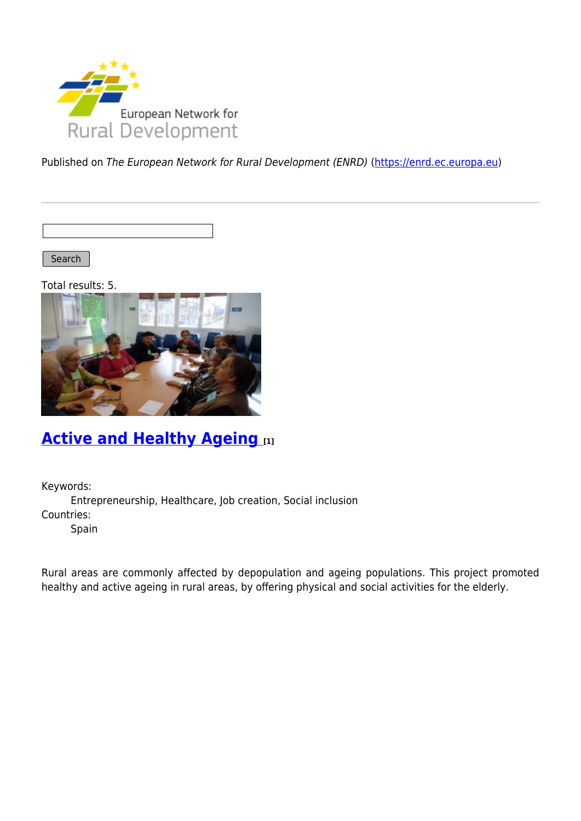

Published on The European Network for Rural Development (ENRD) [\(https://enrd.ec.europa.eu](https://enrd.ec.europa.eu))

Search |

Total results: 5.



## **[Active and Healthy Ageing](https://enrd.ec.europa.eu/projects-practice/active-and-healthy-ageing_en) [1]**

Keywords:

Entrepreneurship, Healthcare, Job creation, Social inclusion Countries:

Spain

Rural areas are commonly affected by depopulation and ageing populations. This project promoted healthy and active ageing in rural areas, by offering physical and social activities for the elderly.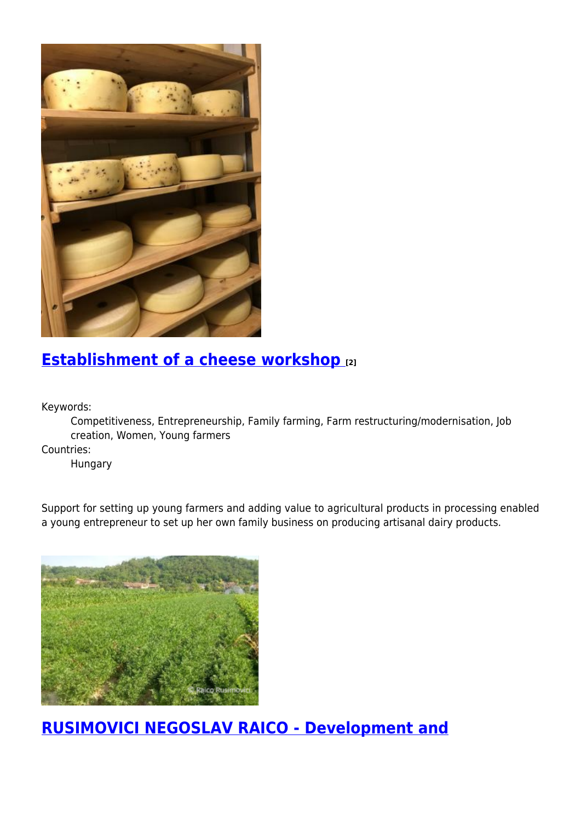

# **[Establishment of a cheese workshop](https://enrd.ec.europa.eu/projects-practice/establishment-cheese-workshop_en) [2]**

Keywords:

Competitiveness, Entrepreneurship, Family farming, Farm restructuring/modernisation, Job creation, Women, Young farmers

Countries:

Hungary

Support for setting up young farmers and adding value to agricultural products in processing enabled a young entrepreneur to set up her own family business on producing artisanal dairy products.



**[RUSIMOVICI NEGOSLAV RAICO - Development and](https://enrd.ec.europa.eu/projects-practice/rusimovici-negoslav-raico-development-and-modernisation-vegetable-farm_en)**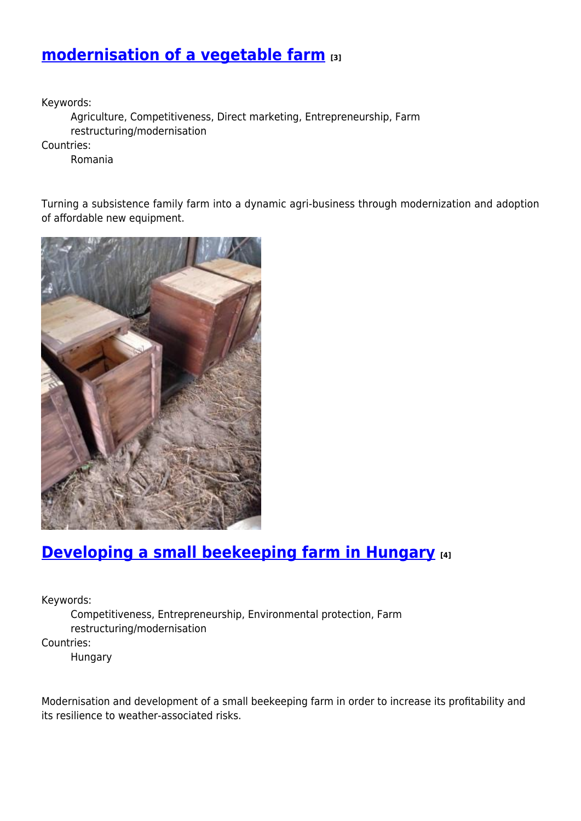### **[modernisation of a vegetable farm](https://enrd.ec.europa.eu/projects-practice/rusimovici-negoslav-raico-development-and-modernisation-vegetable-farm_en) [3]**

Keywords:

Agriculture, Competitiveness, Direct marketing, Entrepreneurship, Farm restructuring/modernisation

Countries:

Romania

Turning a subsistence family farm into a dynamic agri-business through modernization and adoption of affordable new equipment.



## **[Developing a small beekeeping farm in Hungary](https://enrd.ec.europa.eu/projects-practice/developing-small-beekeeping-farm-hungary_en) [4]**

Keywords:

Competitiveness, Entrepreneurship, Environmental protection, Farm restructuring/modernisation Countries:

Hungary

Modernisation and development of a small beekeeping farm in order to increase its profitability and its resilience to weather-associated risks.